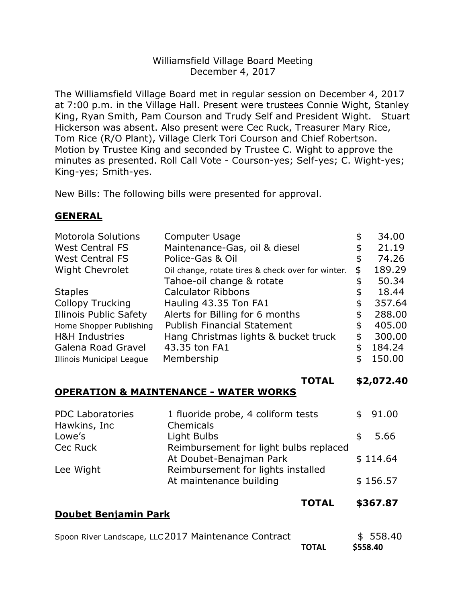## Williamsfield Village Board Meeting December 4, 2017

The Williamsfield Village Board met in regular session on December 4, 2017 at 7:00 p.m. in the Village Hall. Present were trustees Connie Wight, Stanley King, Ryan Smith, Pam Courson and Trudy Self and President Wight. Stuart Hickerson was absent. Also present were Cec Ruck, Treasurer Mary Rice, Tom Rice (R/O Plant), Village Clerk Tori Courson and Chief Robertson. Motion by Trustee King and seconded by Trustee C. Wight to approve the minutes as presented. Roll Call Vote - Courson-yes; Self-yes; C. Wight-yes; King-yes; Smith-yes.

New Bills: The following bills were presented for approval.

## **GENERAL**

| <b>Motorola Solutions</b>        | Computer Usage                                    | \$<br>34.00  |
|----------------------------------|---------------------------------------------------|--------------|
| <b>West Central FS</b>           | Maintenance-Gas, oil & diesel                     | \$<br>21.19  |
| <b>West Central FS</b>           | Police-Gas & Oil                                  | \$<br>74.26  |
| <b>Wight Chevrolet</b>           | Oil change, rotate tires & check over for winter. | \$<br>189.29 |
|                                  | Tahoe-oil change & rotate                         | 50.34        |
| <b>Staples</b>                   | <b>Calculator Ribbons</b>                         | \$<br>18.44  |
| <b>Collopy Trucking</b>          | Hauling 43.35 Ton FA1                             | \$<br>357.64 |
| <b>Illinois Public Safety</b>    | Alerts for Billing for 6 months                   | \$<br>288.00 |
| Home Shopper Publishing          | <b>Publish Financial Statement</b>                | \$<br>405.00 |
| <b>H&amp;H Industries</b>        | Hang Christmas lights & bucket truck              | \$<br>300.00 |
| Galena Road Gravel               | 43.35 ton FA1                                     | \$<br>184.24 |
| <b>Illinois Municipal League</b> | Membership                                        | \$<br>150.00 |
|                                  | <b>TOTAL</b>                                      | \$2,072.40   |
|                                  | MATNITENIA NIAE                                   |              |

## **OPERATION & MAINTENANCE - WATER WORKS**

**Doubet Benjamin Park**

| <b>PDC Laboratories</b> | 1 fluoride probe, 4 coliform tests     |     | \$91.00  |
|-------------------------|----------------------------------------|-----|----------|
| Hawkins, Inc            | Chemicals                              |     |          |
| Lowe's                  | Light Bulbs                            | \$. | 5.66     |
| Cec Ruck                | Reimbursement for light bulbs replaced |     |          |
|                         | At Doubet-Benajman Park                |     | \$114.64 |
| Lee Wight               | Reimbursement for lights installed     |     |          |
|                         | At maintenance building                |     | \$156.57 |
|                         |                                        |     |          |

**TOTAL \$367.87**

| Spoon River Landscape, LLC 2017 Maintenance Contract |              | \$558.40 |
|------------------------------------------------------|--------------|----------|
|                                                      | <b>TOTAL</b> | \$558.40 |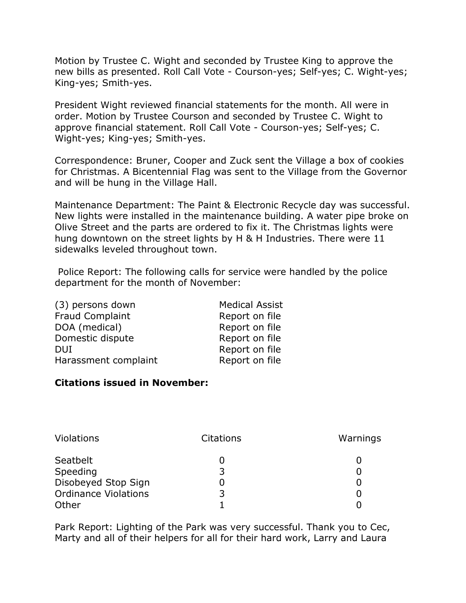Motion by Trustee C. Wight and seconded by Trustee King to approve the new bills as presented. Roll Call Vote - Courson-yes; Self-yes; C. Wight-yes; King-yes; Smith-yes.

President Wight reviewed financial statements for the month. All were in order. Motion by Trustee Courson and seconded by Trustee C. Wight to approve financial statement. Roll Call Vote - Courson-yes; Self-yes; C. Wight-yes; King-yes; Smith-yes.

Correspondence: Bruner, Cooper and Zuck sent the Village a box of cookies for Christmas. A Bicentennial Flag was sent to the Village from the Governor and will be hung in the Village Hall.

Maintenance Department: The Paint & Electronic Recycle day was successful. New lights were installed in the maintenance building. A water pipe broke on Olive Street and the parts are ordered to fix it. The Christmas lights were hung downtown on the street lights by H & H Industries. There were 11 sidewalks leveled throughout town.

Police Report: The following calls for service were handled by the police department for the month of November:

| (3) persons down       | <b>Medical Assist</b> |
|------------------------|-----------------------|
| <b>Fraud Complaint</b> | Report on file        |
| DOA (medical)          | Report on file        |
| Domestic dispute       | Report on file        |
| <b>DUI</b>             | Report on file        |
| Harassment complaint   | Report on file        |

## **Citations issued in November:**

| <b>Violations</b>           | Citations | Warnings |
|-----------------------------|-----------|----------|
| Seatbelt                    |           |          |
| Speeding                    | 3         |          |
| Disobeyed Stop Sign         |           |          |
| <b>Ordinance Violations</b> | 3         |          |
| Other                       |           |          |

Park Report: Lighting of the Park was very successful. Thank you to Cec, Marty and all of their helpers for all for their hard work, Larry and Laura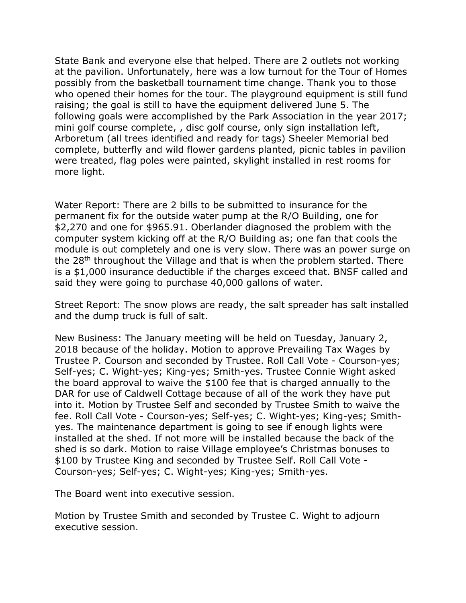State Bank and everyone else that helped. There are 2 outlets not working at the pavilion. Unfortunately, here was a low turnout for the Tour of Homes possibly from the basketball tournament time change. Thank you to those who opened their homes for the tour. The playground equipment is still fund raising; the goal is still to have the equipment delivered June 5. The following goals were accomplished by the Park Association in the year 2017; mini golf course complete, , disc golf course, only sign installation left, Arboretum (all trees identified and ready for tags) Sheeler Memorial bed complete, butterfly and wild flower gardens planted, picnic tables in pavilion were treated, flag poles were painted, skylight installed in rest rooms for more light.

Water Report: There are 2 bills to be submitted to insurance for the permanent fix for the outside water pump at the R/O Building, one for \$2,270 and one for \$965.91. Oberlander diagnosed the problem with the computer system kicking off at the R/O Building as; one fan that cools the module is out completely and one is very slow. There was an power surge on the 28th throughout the Village and that is when the problem started. There is a \$1,000 insurance deductible if the charges exceed that. BNSF called and said they were going to purchase 40,000 gallons of water.

Street Report: The snow plows are ready, the salt spreader has salt installed and the dump truck is full of salt.

New Business: The January meeting will be held on Tuesday, January 2, 2018 because of the holiday. Motion to approve Prevailing Tax Wages by Trustee P. Courson and seconded by Trustee. Roll Call Vote - Courson-yes; Self-yes; C. Wight-yes; King-yes; Smith-yes. Trustee Connie Wight asked the board approval to waive the \$100 fee that is charged annually to the DAR for use of Caldwell Cottage because of all of the work they have put into it. Motion by Trustee Self and seconded by Trustee Smith to waive the fee. Roll Call Vote - Courson-yes; Self-yes; C. Wight-yes; King-yes; Smithyes. The maintenance department is going to see if enough lights were installed at the shed. If not more will be installed because the back of the shed is so dark. Motion to raise Village employee's Christmas bonuses to \$100 by Trustee King and seconded by Trustee Self. Roll Call Vote - Courson-yes; Self-yes; C. Wight-yes; King-yes; Smith-yes.

The Board went into executive session.

Motion by Trustee Smith and seconded by Trustee C. Wight to adjourn executive session.